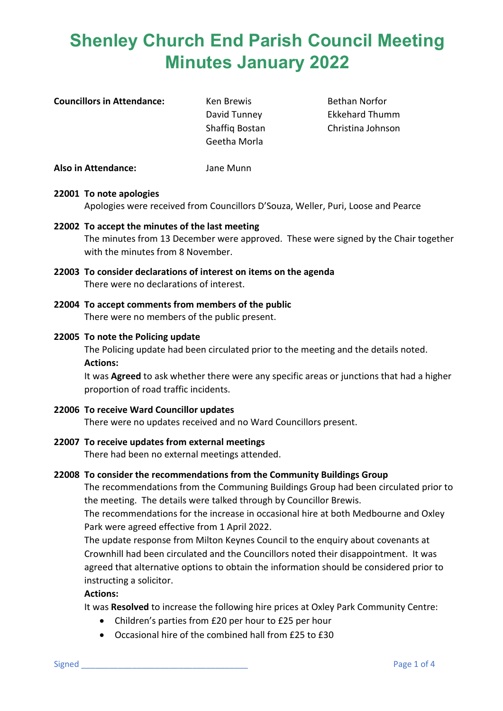| <b>Councillors in Attendance:</b> |  |
|-----------------------------------|--|
|-----------------------------------|--|

**Council Council Extending Ken Brewis** Bethan Norfor Geetha Morla

David Tunney Ekkehard Thumm Shaffiq Bostan Christina Johnson

**Also in Attendance:** Jane Munn

## **22001 To note apologies**

Apologies were received from Councillors D'Souza, Weller, Puri, Loose and Pearce

- **22002 To accept the minutes of the last meeting** The minutes from 13 December were approved. These were signed by the Chair together with the minutes from 8 November.
- **22003 To consider declarations of interest on items on the agenda** There were no declarations of interest.
- **22004 To accept comments from members of the public** There were no members of the public present.

## **22005 To note the Policing update**

The Policing update had been circulated prior to the meeting and the details noted. **Actions:**

It was **Agreed** to ask whether there were any specific areas or junctions that had a higher proportion of road traffic incidents.

- **22006 To receive Ward Councillor updates** There were no updates received and no Ward Councillors present.
- **22007 To receive updates from external meetings** There had been no external meetings attended.

## **22008 To consider the recommendations from the Community Buildings Group**

The recommendations from the Communing Buildings Group had been circulated prior to the meeting. The details were talked through by Councillor Brewis.

The recommendations for the increase in occasional hire at both Medbourne and Oxley Park were agreed effective from 1 April 2022.

The update response from Milton Keynes Council to the enquiry about covenants at Crownhill had been circulated and the Councillors noted their disappointment. It was agreed that alternative options to obtain the information should be considered prior to instructing a solicitor.

## **Actions:**

It was **Resolved** to increase the following hire prices at Oxley Park Community Centre:

- Children's parties from £20 per hour to £25 per hour
- Occasional hire of the combined hall from £25 to £30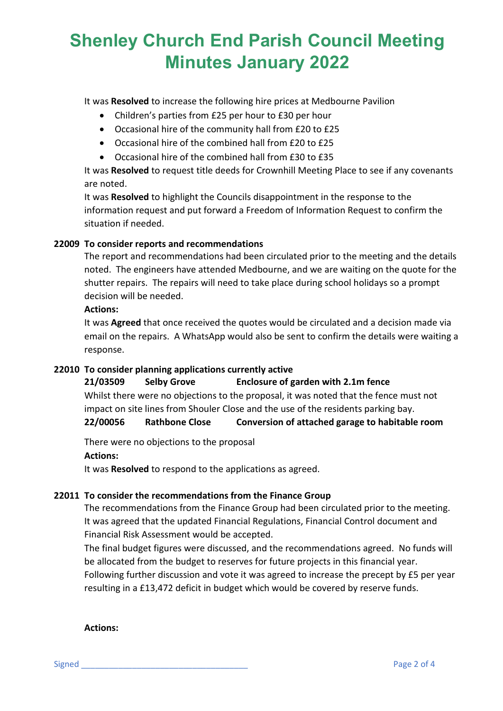It was **Resolved** to increase the following hire prices at Medbourne Pavilion

- Children's parties from £25 per hour to £30 per hour
- Occasional hire of the community hall from £20 to £25
- Occasional hire of the combined hall from £20 to £25
- Occasional hire of the combined hall from £30 to £35

It was **Resolved** to request title deeds for Crownhill Meeting Place to see if any covenants are noted.

It was **Resolved** to highlight the Councils disappointment in the response to the information request and put forward a Freedom of Information Request to confirm the situation if needed.

### **22009 To consider reports and recommendations**

The report and recommendations had been circulated prior to the meeting and the details noted. The engineers have attended Medbourne, and we are waiting on the quote for the shutter repairs. The repairs will need to take place during school holidays so a prompt decision will be needed.

#### **Actions:**

It was **Agreed** that once received the quotes would be circulated and a decision made via email on the repairs. A WhatsApp would also be sent to confirm the details were waiting a response.

#### **22010 To consider planning applications currently active**

**21/03509 Selby Grove Enclosure of garden with 2.1m fence** Whilst there were no objections to the proposal, it was noted that the fence must not

impact on site lines from Shouler Close and the use of the residents parking bay.

**22/00056 Rathbone Close Conversion of attached garage to habitable room**

There were no objections to the proposal

**Actions:**

It was **Resolved** to respond to the applications as agreed.

## **22011 To consider the recommendations from the Finance Group**

The recommendations from the Finance Group had been circulated prior to the meeting. It was agreed that the updated Financial Regulations, Financial Control document and Financial Risk Assessment would be accepted.

The final budget figures were discussed, and the recommendations agreed. No funds will be allocated from the budget to reserves for future projects in this financial year. Following further discussion and vote it was agreed to increase the precept by £5 per year resulting in a £13,472 deficit in budget which would be covered by reserve funds.

**Actions:**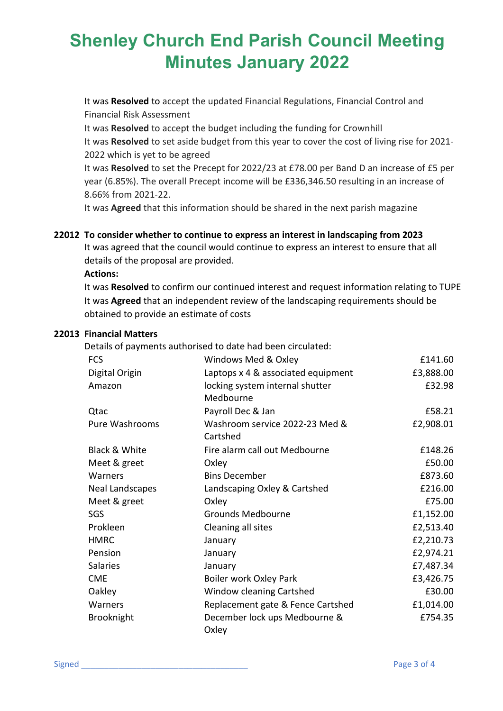It was **Resolved** to accept the updated Financial Regulations, Financial Control and Financial Risk Assessment

It was **Resolved** to accept the budget including the funding for Crownhill It was **Resolved** to set aside budget from this year to cover the cost of living rise for 2021- 2022 which is yet to be agreed

It was **Resolved** to set the Precept for 2022/23 at £78.00 per Band D an increase of £5 per year (6.85%). The overall Precept income will be £336,346.50 resulting in an increase of 8.66% from 2021-22.

It was **Agreed** that this information should be shared in the next parish magazine

## **22012 To consider whether to continue to express an interest in landscaping from 2023**

It was agreed that the council would continue to express an interest to ensure that all details of the proposal are provided.

#### **Actions:**

It was **Resolved** to confirm our continued interest and request information relating to TUPE It was **Agreed** that an independent review of the landscaping requirements should be obtained to provide an estimate of costs

#### **22013 Financial Matters**

Details of payments authorised to date had been circulated:

| <b>FCS</b>               | Windows Med & Oxley                | £141.60   |
|--------------------------|------------------------------------|-----------|
| Digital Origin           | Laptops x 4 & associated equipment | £3,888.00 |
| Amazon                   | locking system internal shutter    | £32.98    |
|                          | Medbourne                          |           |
| Qtac                     | Payroll Dec & Jan                  | £58.21    |
| Pure Washrooms           | Washroom service 2022-23 Med &     | £2,908.01 |
|                          | Cartshed                           |           |
| <b>Black &amp; White</b> | Fire alarm call out Medbourne      | £148.26   |
| Meet & greet             | Oxley                              | £50.00    |
| Warners                  | <b>Bins December</b>               | £873.60   |
| Neal Landscapes          | Landscaping Oxley & Cartshed       | £216.00   |
| Meet & greet             | Oxley                              | £75.00    |
| SGS                      | <b>Grounds Medbourne</b>           | £1,152.00 |
| Prokleen                 | Cleaning all sites                 | £2,513.40 |
| <b>HMRC</b>              | January                            | £2,210.73 |
| Pension                  | January                            | £2,974.21 |
| <b>Salaries</b>          | January                            | £7,487.34 |
| <b>CME</b>               | Boiler work Oxley Park             | £3,426.75 |
| Oakley                   | Window cleaning Cartshed           | £30.00    |
| Warners                  | Replacement gate & Fence Cartshed  | £1,014.00 |
| <b>Brooknight</b>        | December lock ups Medbourne &      | £754.35   |
|                          | Oxley                              |           |